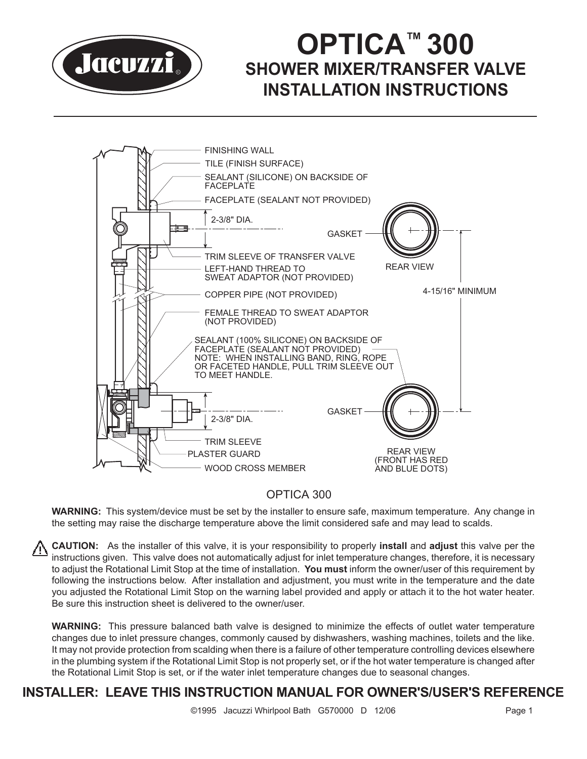

# **OPTICA™ 300 SHOWER MIXER/TRANSFER VALVE INSTALLATION INSTRUCTIONS**



# OPTICA 300

**WARNING:** This system/device must be set by the installer to ensure safe, maximum temperature. Any change in the setting may raise the discharge temperature above the limit considered safe and may lead to scalds.

**CAUTION:** As the installer of this valve, it is your responsibility to properly **install** and **adjust** this valve per the instructions given. This valve does not automatically adjust for inlet temperature changes, therefore, it is necessary to adjust the Rotational Limit Stop at the time of installation. **You must** inform the owner/user of this requirement by following the instructions below. After installation and adjustment, you must write in the temperature and the date you adjusted the Rotational Limit Stop on the warning label provided and apply or attach it to the hot water heater. Be sure this instruction sheet is delivered to the owner/user.

**WARNING:** This pressure balanced bath valve is designed to minimize the effects of outlet water temperature changes due to inlet pressure changes, commonly caused by dishwashers, washing machines, toilets and the like. It may not provide protection from scalding when there is a failure of other temperature controlling devices elsewhere in the plumbing system if the Rotational Limit Stop is not properly set, or if the hot water temperature is changed after the Rotational Limit Stop is set, or if the water inlet temperature changes due to seasonal changes.

# **INSTALLER: LEAVE THIS INSTRUCTION MANUAL FOR OWNER'S/USER'S REFERENCE**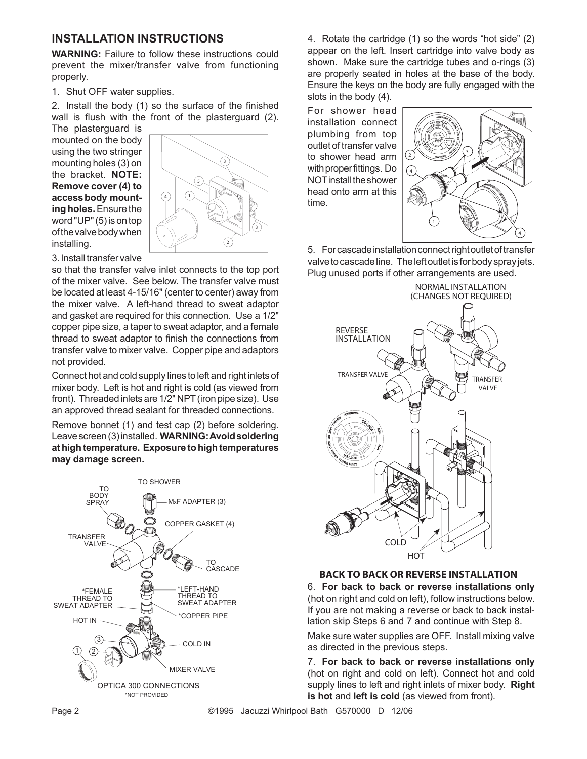## **INSTALLATION INSTRUCTIONS**

**WARNING:** Failure to follow these instructions could prevent the mixer/transfer valve from functioning properly.

1. Shut OFF water supplies.

2. Install the body (1) so the surface of the finished wall is flush with the front of the plasterguard (2).

The plasterguard is mounted on the body using the two stringer mounting holes (3) on the bracket. **NOTE: Remove cover (4) to accessbody mounting holes.**Ensure the word "UP" (5) is on top ofthevalvebodywhen installing.



3. Install transfer valve

so that the transfer valve inlet connects to the top port of the mixer valve. See below. The transfer valve must be located at least 4-15/16" (center to center) away from the mixer valve. A left-hand thread to sweat adaptor and gasket are required for this connection. Use a 1/2" copper pipe size, a taper to sweat adaptor, and a female thread to sweat adaptor to finish the connections from transfer valve to mixer valve. Copper pipe and adaptors not provided.

Connect hot and cold supply lines to left and right inlets of mixer body. Left is hot and right is cold (as viewed from front). Threaded inlets are 1/2" NPT (iron pipe size). Use an approved thread sealant for threaded connections.

Remove bonnet (1) and test cap (2) before soldering. Leavescreen(3)installed. **WARNING:Avoidsoldering athightemperature. Exposure tohightemperatures may damage screen.**



4. Rotate the cartridge (1) so the words "hot side" (2) appear on the left. Insert cartridge into valve body as shown. Make sure the cartridge tubes and o-rings (3) are properly seated in holes at the base of the body. Ensure the keys on the body are fully engaged with the slots in the body (4).

For shower head installation connect plumbing from top outlet of transfer valve to shower head arm with proper fittings. Do NOT install the shower head onto arm at this time.



5. For cascade installation connect right outlet of transfer valve to cascade line. The left outlet is for body spray jets. Plug unused ports if other arrangements are used.



#### **BACK TO BACK OR REVERSE INSTALLATION**

6. **For back to back or reverse installations only** (hot on right and cold on left), follow instructions below. If you are not making a reverse or back to back installation skip Steps 6 and 7 and continue with Step 8.

Make sure water supplies are OFF. Install mixing valve as directed in the previous steps.

7. **For back to back or reverse installations only** (hot on right and cold on left). Connect hot and cold supply lines to left and right inlets of mixer body. **Right is hot** and **left is cold** (as viewed from front).

Page 2 **Discrept 2 CONNOC CONSTRESS** Jacuzzi Whirlpool Bath G570000 D 12/06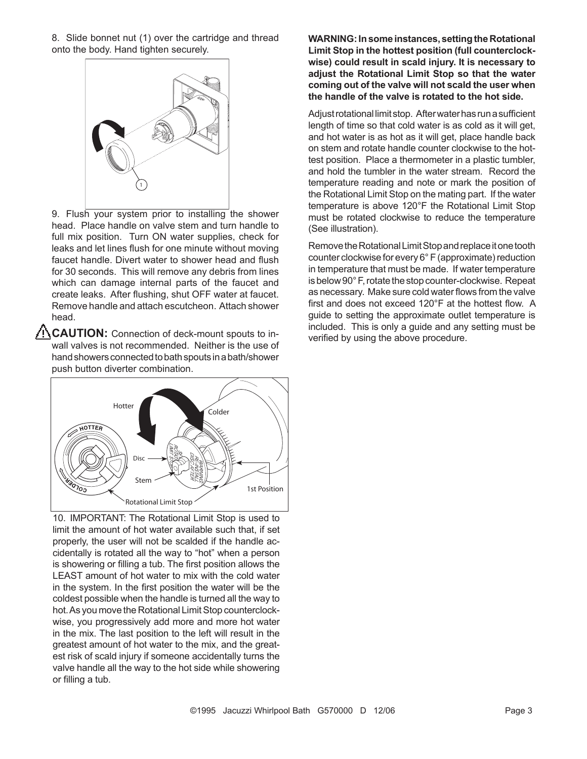8. Slide bonnet nut (1) over the cartridge and thread onto the body. Hand tighten securely.



9. Flush your system prior to installing the shower head. Place handle on valve stem and turn handle to full mix position. Turn ON water supplies, check for leaks and let lines flush for one minute without moving faucet handle. Divert water to shower head and flush for 30 seconds. This will remove any debris from lines which can damage internal parts of the faucet and create leaks. After flushing, shut OFF water at faucet. Remove handle and attach escutcheon. Attach shower head.

**CAUTION:** Connection of deck-mount spouts to inwall valves is not recommended. Neither is the use of hand showers connected to bath spouts in a bath/shower push button diverter combination.



10. IMPORTANT: The Rotational Limit Stop is used to limit the amount of hot water available such that, if set properly, the user will not be scalded if the handle accidentally is rotated all the way to "hot" when a person is showering or filling a tub. The first position allows the LEAST amount of hot water to mix with the cold water in the system. In the first position the water will be the coldest possible when the handle is turned all the way to hot. As you move the Rotational Limit Stop counterclockwise, you progressively add more and more hot water in the mix. The last position to the left will result in the greatest amount of hot water to the mix, and the greatest risk of scald injury if someone accidentally turns the valve handle all the way to the hot side while showering or filling a tub.

**WARNING:Insome instances, settingtheRotational Limit Stop in the hottest position (full counterclockwise) could result in scald injury. It is necessary to adjust the Rotational Limit Stop so that the water coming out of the valve will not scald the user when the handle of the valve is rotated to the hot side.**

Adjustrotational limitstop. Afterwaterhasrunasufficient length of time so that cold water is as cold as it will get, and hot water is as hot as it will get, place handle back on stem and rotate handle counter clockwise to the hottest position. Place a thermometer in a plastic tumbler, and hold the tumbler in the water stream. Record the temperature reading and note or mark the position of the Rotational Limit Stop on the mating part. If the water temperature is above 120°F the Rotational Limit Stop must be rotated clockwise to reduce the temperature (See illustration).

Remove the Rotational Limit Stop and replace it one tooth counter clockwise for every  $6^{\circ}$  F (approximate) reduction in temperature that must be made. If water temperature is below 90°F, rotate the stop counter-clockwise. Repeat as necessary. Make sure cold water flows from the valve first and does not exceed 120°F at the hottest flow. A guide to setting the approximate outlet temperature is included. This is only a guide and any setting must be verified by using the above procedure.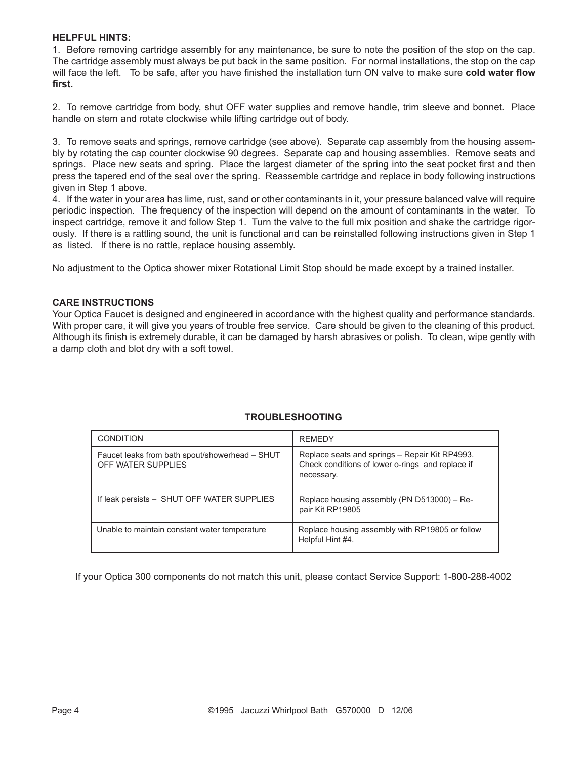#### **HELPFUL HINTS:**

1. Before removing cartridge assembly for any maintenance, be sure to note the position of the stop on the cap. The cartridge assembly must always be put back in the same position. For normal installations, the stop on the cap will face the left. To be safe, after you have finished the installation turn ON valve to make sure **cold water flow first.**

2. To remove cartridge from body, shut OFF water supplies and remove handle, trim sleeve and bonnet. Place handle on stem and rotate clockwise while lifting cartridge out of body.

3. To remove seats and springs, remove cartridge (see above). Separate cap assembly from the housing assembly by rotating the cap counter clockwise 90 degrees. Separate cap and housing assemblies. Remove seats and springs. Place new seats and spring. Place the largest diameter of the spring into the seat pocket first and then press the tapered end of the seal over the spring. Reassemble cartridge and replace in body following instructions given in Step 1 above.

4. If the water in your area has lime, rust, sand or other contaminants in it, your pressure balanced valve will require periodic inspection. The frequency of the inspection will depend on the amount of contaminants in the water. To inspect cartridge, remove it and follow Step 1. Turn the valve to the full mix position and shake the cartridge rigorously. If there is a rattling sound, the unit is functional and can be reinstalled following instructions given in Step 1 as listed. If there is no rattle, replace housing assembly.

No adjustment to the Optica shower mixer Rotational Limit Stop should be made except by a trained installer.

#### **CARE INSTRUCTIONS**

Your Optica Faucet is designed and engineered in accordance with the highest quality and performance standards. With proper care, it will give you years of trouble free service. Care should be given to the cleaning of this product. Although its finish is extremely durable, it can be damaged by harsh abrasives or polish. To clean, wipe gently with a damp cloth and blot dry with a soft towel.

| <b>CONDITION</b>                                                     | <b>REMEDY</b>                                                                                                    |
|----------------------------------------------------------------------|------------------------------------------------------------------------------------------------------------------|
| Faucet leaks from bath spout/showerhead - SHUT<br>OFF WATER SUPPLIES | Replace seats and springs - Repair Kit RP4993.<br>Check conditions of lower o-rings and replace if<br>necessary. |
| If leak persists - SHUT OFF WATER SUPPLIES                           | Replace housing assembly (PN D513000) - Re-<br>pair Kit RP19805                                                  |
| Unable to maintain constant water temperature                        | Replace housing assembly with RP19805 or follow<br>Helpful Hint #4.                                              |

#### **TROUBLESHOOTING**

If your Optica 300 components do not match this unit, please contact Service Support: 1-800-288-4002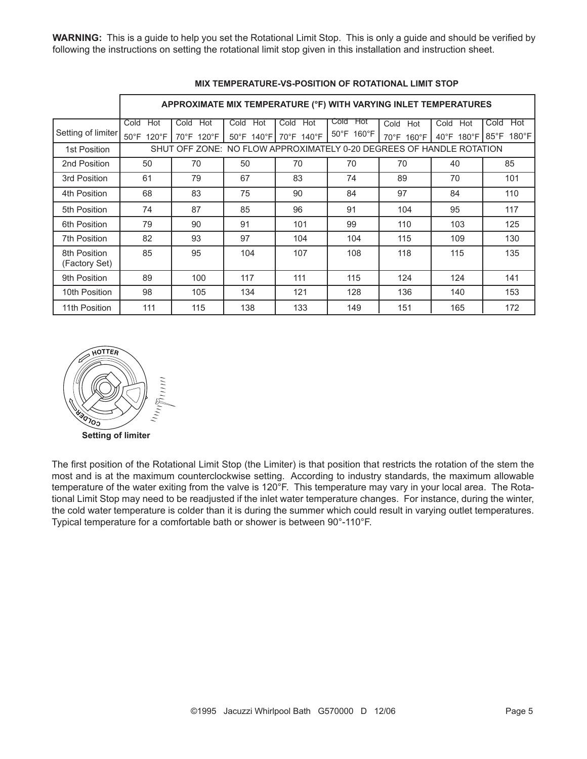**WARNING:** This is a guide to help you set the Rotational Limit Stop. This is only a guide and should be verified by following the instructions on setting the rotational limit stop given in this installation and instruction sheet.

|                               | APPROXIMATE MIX TEMPERATURE (°F) WITH VARYING INLET TEMPERATURES     |             |             |                       |                    |             |                 |                 |  |
|-------------------------------|----------------------------------------------------------------------|-------------|-------------|-----------------------|--------------------|-------------|-----------------|-----------------|--|
|                               | Hot<br>Cold                                                          | Cold<br>Hot | Cold<br>Hot | Cold<br>Hot           | Cold<br><b>Hot</b> | Hot<br>Cold | Cold<br>Hot     | Hot<br>Cold     |  |
| Setting of limiter            | 50°F 120°F                                                           | 70°F 120°F  |             | 50°F 140°F 70°F 140°F | 50°F 160°F         | 70°F 160°F  | 40°F 180°F 85°F | $180^{\circ}$ F |  |
| 1st Position                  | SHUT OFF ZONE: NO FLOW APPROXIMATELY 0-20 DEGREES OF HANDLE ROTATION |             |             |                       |                    |             |                 |                 |  |
| 2nd Position                  | 50                                                                   | 70          | 50          | 70                    | 70                 | 70          | 40              | 85              |  |
| 3rd Position                  | 61                                                                   | 79          | 67          | 83                    | 74                 | 89          | 70              | 101             |  |
| 4th Position                  | 68                                                                   | 83          | 75          | 90                    | 84                 | 97          | 84              | 110             |  |
| 5th Position                  | 74                                                                   | 87          | 85          | 96                    | 91                 | 104         | 95              | 117             |  |
| 6th Position                  | 79                                                                   | 90          | 91          | 101                   | 99                 | 110         | 103             | 125             |  |
| 7th Position                  | 82                                                                   | 93          | 97          | 104                   | 104                | 115         | 109             | 130             |  |
| 8th Position<br>(Factory Set) | 85                                                                   | 95          | 104         | 107                   | 108                | 118         | 115             | 135             |  |
| 9th Position                  | 89                                                                   | 100         | 117         | 111                   | 115                | 124         | 124             | 141             |  |
| 10th Position                 | 98                                                                   | 105         | 134         | 121                   | 128                | 136         | 140             | 153             |  |
| 11th Position                 | 111                                                                  | 115         | 138         | 133                   | 149                | 151         | 165             | 172             |  |

#### **MIX TEMPERATURE-VS-POSITION OF ROTATIONAL LIMIT STOP**



The first position of the Rotational Limit Stop (the Limiter) is that position that restricts the rotation of the stem the most and is at the maximum counterclockwise setting. According to industry standards, the maximum allowable temperature of the water exiting from the valve is 120°F. This temperature may vary in your local area. The Rotational Limit Stop may need to be readjusted if the inlet water temperature changes. For instance, during the winter, the cold water temperature is colder than it is during the summer which could result in varying outlet temperatures. Typical temperature for a comfortable bath or shower is between 90°-110°F.